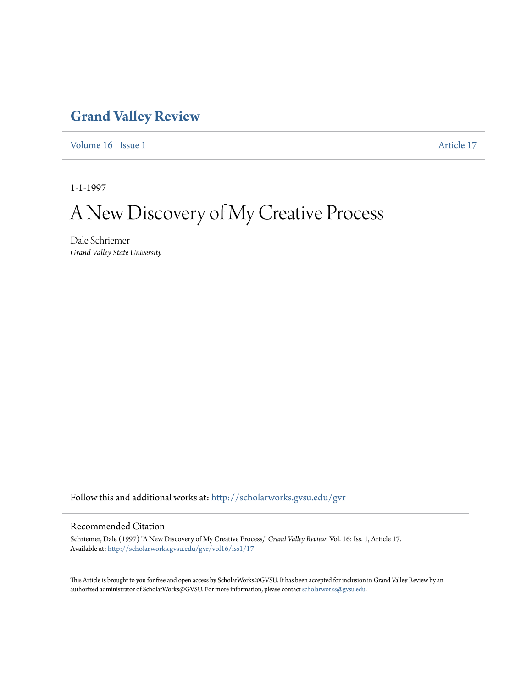## **[Grand Valley Review](http://scholarworks.gvsu.edu/gvr?utm_source=scholarworks.gvsu.edu%2Fgvr%2Fvol16%2Fiss1%2F17&utm_medium=PDF&utm_campaign=PDFCoverPages)**

[Volume 16](http://scholarworks.gvsu.edu/gvr/vol16?utm_source=scholarworks.gvsu.edu%2Fgvr%2Fvol16%2Fiss1%2F17&utm_medium=PDF&utm_campaign=PDFCoverPages) | [Issue 1](http://scholarworks.gvsu.edu/gvr/vol16/iss1?utm_source=scholarworks.gvsu.edu%2Fgvr%2Fvol16%2Fiss1%2F17&utm_medium=PDF&utm_campaign=PDFCoverPages) [Article 17](http://scholarworks.gvsu.edu/gvr/vol16/iss1/17?utm_source=scholarworks.gvsu.edu%2Fgvr%2Fvol16%2Fiss1%2F17&utm_medium=PDF&utm_campaign=PDFCoverPages)

1-1-1997

# A New Discovery of My Creative Process

Dale Schriemer *Grand Valley State University*

Follow this and additional works at: [http://scholarworks.gvsu.edu/gvr](http://scholarworks.gvsu.edu/gvr?utm_source=scholarworks.gvsu.edu%2Fgvr%2Fvol16%2Fiss1%2F17&utm_medium=PDF&utm_campaign=PDFCoverPages)

#### Recommended Citation

Schriemer, Dale (1997) "A New Discovery of My Creative Process," *Grand Valley Review*: Vol. 16: Iss. 1, Article 17. Available at: [http://scholarworks.gvsu.edu/gvr/vol16/iss1/17](http://scholarworks.gvsu.edu/gvr/vol16/iss1/17?utm_source=scholarworks.gvsu.edu%2Fgvr%2Fvol16%2Fiss1%2F17&utm_medium=PDF&utm_campaign=PDFCoverPages)

This Article is brought to you for free and open access by ScholarWorks@GVSU. It has been accepted for inclusion in Grand Valley Review by an authorized administrator of ScholarWorks@GVSU. For more information, please contact [scholarworks@gvsu.edu.](mailto:scholarworks@gvsu.edu)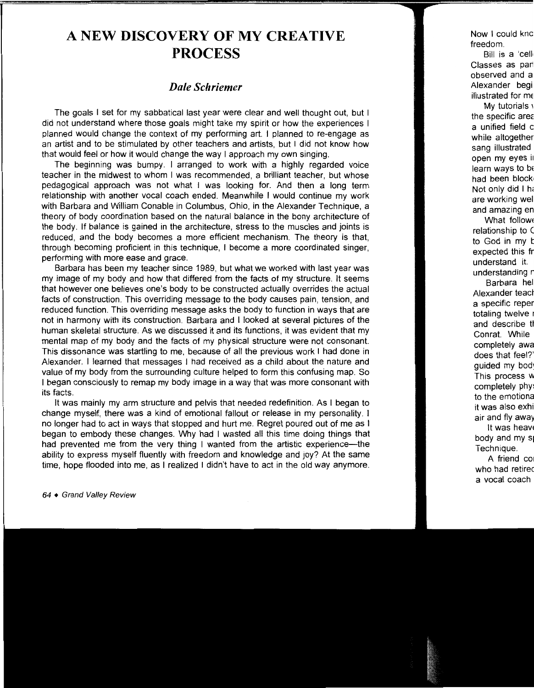## **A NEW DISCOVERY OF MY CREATIVE PROCESS**

### *Dale Schriemer*

The goals I set for my sabbatical last year were clear and well thought out, but I did not understand where those goals might take my spirit or how the experiences I planned would change the context of my performing art. I planned to re-engage as an artist and to be stimulated by other teachers and artists, but I did not know how that would feel or how it would change the way I approach my own singing.

The beginning was bumpy. I arranged to work with a highly regarded voice teacher in the midwest to whom I was recommended, a brilliant teacher, but whose pedagogical approach was not what I was looking for. And then a long term relationship with another vocal coach ended. Meanwhile I would continue my work with Barbara and William Conable in Columbus, Ohio, in the Alexander Technique, a theory of body coordination based on the natural balance in the bony architecture of the body. If balance is gained in the architecture, stress to the muscles and joints is reduced, and the body becomes a more efficient mechanism. The theory is that, through becoming proficient in this technique, I become a more coordinated singer, performing with more ease and grace.

Barbara has been my teacher since 1989, but what we worked with last year was my image of my body and how that differed from the facts of my structure. It seems that however one believes one's body to be constructed actually overrides the actual facts of construction. This overriding message to the body causes pain, tension, and reduced function. This overriding message asks the body to function in ways that are not in harmony with its construction. Barbara and I looked at several pictures of the human skeletal structure. As we discussed it and its functions, it was evident that my mental map of my body and the facts of my physical structure were not consonant. This dissonance was startling to me, because of all the previous work I had done in Alexander. 1 learned that messages I had received as a child about the nature and value of my body from the surrounding culture helped to form this confusing map. So 1 began consciously to remap my body image in a way that was more consonant with its facts.

It was mainly my arm structure and pelvis that needed redefinition. As I began to change myself, there was a kind of emotional fallout or release in my personality. I no longer had to act in ways that stopped and hurt me. Regret poured out of me as I began to embody these changes. Why had I wasted all this time doing things that had prevented me from the very thing I wanted from the artistic experience---the ability to express myself fluently with freedom and knowledge and joy? At the same time, hope flooded into me, as I realized I didn't have to act in the old way anymore.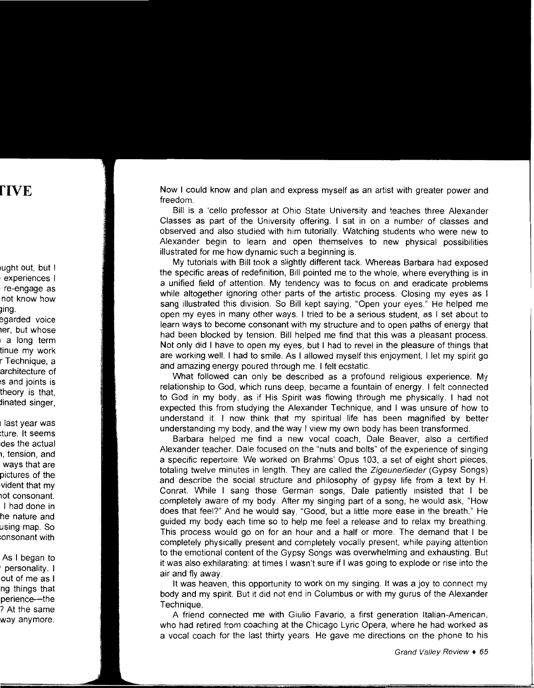Now I could know and plan and express myself as an artist with greater power and freedom.

Bill is a 'cello professor at Ohio State University and teaches three Alexander Classes as part of the University offering. I sat in on a number of classes and observed and also studied with him tutorially. Watching students who were new to Alexander begin to learn and open themselves to new physical possibilities illustrated for me how dynamic such a beginning is.

My tutorials with Bill took a slightly different tack. Whereas Barbara had exposed the specific areas of redefinition, Bill pointed me to the whole, where everything is in a unified field of attention. My tendency was to focus on and eradicate problems while altogether ignoring other parts of the artistic process. Closing my eyes as I sang illustrated this division. So Bill kept saying, "Open your eyes." He helped me open my eyes in many other ways. I tried to be a serious student, as I set about to learn ways to become consonant with my structure and to open paths of energy that had been blocked by tension. Bill helped me find that this was a pleasant process. Not only did I have to open my eyes, but I had to revel in the pleasure of things that are working well. I had to smile. As I allowed myself this enjoyment, I let my spirit go and amazing energy poured through me. I felt ecstatic.

What followed can only be described as a profound religious experience. My relationship to God, which runs deep, became a fountain of energy. I felt connected to God in my body, as if His Spirit was flowing through me physically. I had not expected this from studying the Alexander Technique, and I was unsure of how to understand it. I now think that my spiritual life has been magnified by better understanding my body, and the way I view my own body has been transformed.

Barbara helped me find a new vocal coach, Dale Beaver, also a certified Alexander teacher. Dale focused on the "nuts and bolts" of the experience of singing a specific repertoire. We worked on Brahms' Opus 103, a set of eight short pieces, totaling twelve minutes in length. They are called the Zigeunerlieder (Gypsy Songs) and describe the social structure and philosophy of gypsy life from a text by H. Conrat. While I sang those German songs, Dale patiently insisted that I be completely aware of my body. After my singing part of a song, he would ask, "How does that feel?" And he would say, "Good, but a little more ease in the breath." He guided my body each time so to help me feel a release and to relax my breathing. This process would go on for an hour and a half or more. The demand that I be completely physically present and completely vocally present, while paying attention to the emotional content of the Gypsy Songs was overwhelming and exhausting. But it was also exhilarating: at times I wasn't sure if I was going to explode or rise into the air and fly away.

It was heaven, this opportunity to work on my singing. It was a joy to connect my body and my spirit. But it did not end in Columbus or with my gurus of the Alexander Technique.

A friend connected me with Giulio Favario, a first generation Italian-American, who had retired from coaching at the Chicago Lyric Opera, where he had worked as a vocal coach for the last thirty years. He gave me directions on the phone to his